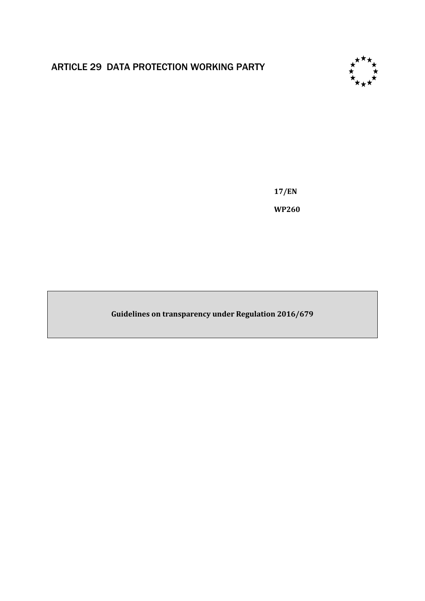# ARTICLE 29 DATA PROTECTION WORKING PARTY



**17/EN WP260**

**Guidelines on transparency under Regulation 2016/679**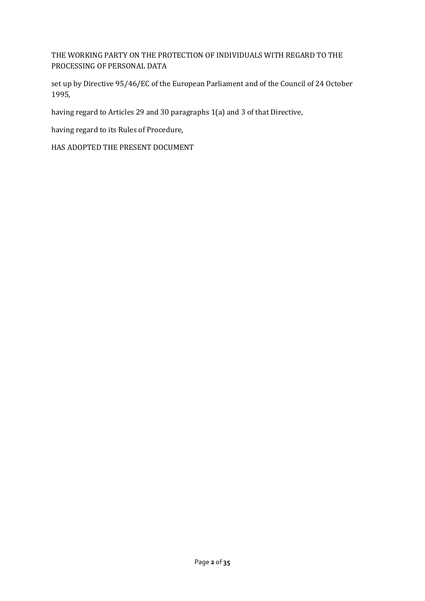THE WORKING PARTY ON THE PROTECTION OF INDIVIDUALS WITH REGARD TO THE PROCESSING OF PERSONAL DATA

set up by Directive 95/46/EC of the European Parliament and of the Council of 24 October 1995,

having regard to Articles 29 and 30 paragraphs 1(a) and 3 of that Directive,

having regard to its Rules of Procedure,

HAS ADOPTED THE PRESENT DOCUMENT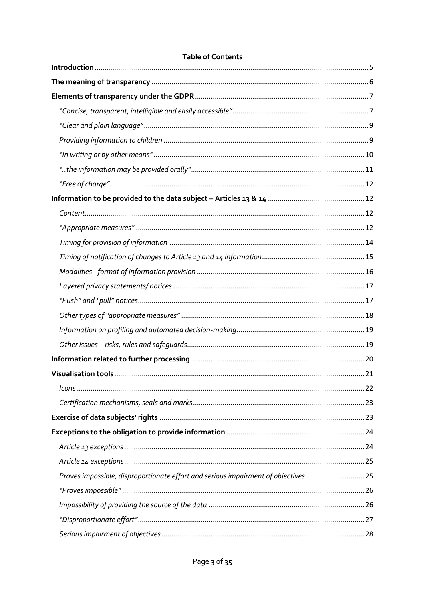| Proves impossible, disproportionate effort and serious impairment of objectives25 |  |
|-----------------------------------------------------------------------------------|--|
|                                                                                   |  |
|                                                                                   |  |
|                                                                                   |  |
|                                                                                   |  |

# **Table of Contents**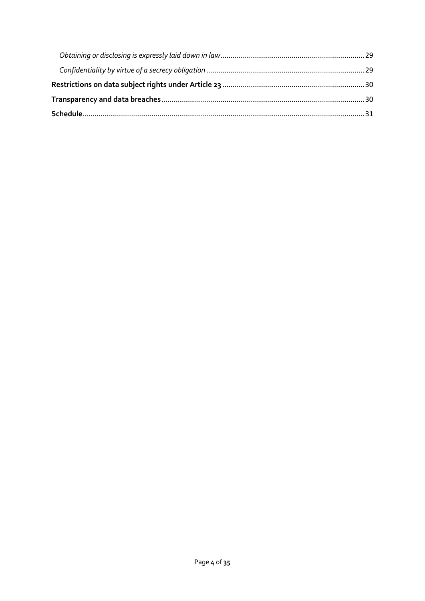<span id="page-3-0"></span>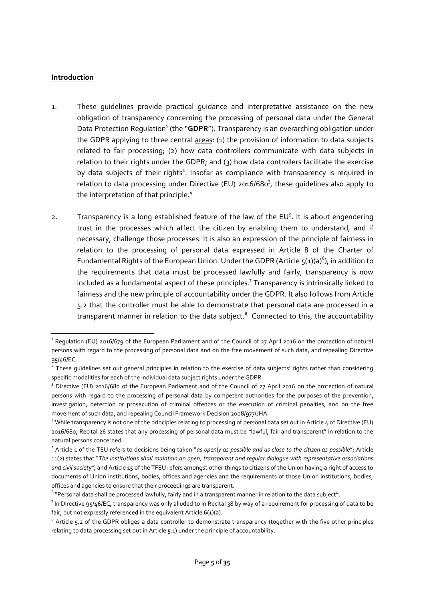### **Introduction**

**.** 

- 1. These guidelines provide practical guidance and interpretative assistance on the new obligation of transparency concerning the processing of personal data under the General Data Protection Regulation<sup>1</sup> (the "GDPR"). Transparency is an overarching obligation under the GDPR applying to three central areas: (1) the provision of information to data subjects related to fair processing; (2) how data controllers communicate with data subjects in relation to their rights under the GDPR; and (3) how data controllers facilitate the exercise by data subjects of their rights<sup>2</sup>. Insofar as compliance with transparency is required in relation to data processing under Directive (EU) 2016/680<sup>3</sup>, these guidelines also apply to the interpretation of that principle.<sup>4</sup>
- 2. Transparency is a long established feature of the law of the  $EU<sup>5</sup>$ . It is about engendering trust in the processes which affect the citizen by enabling them to understand, and if necessary, challenge those processes. It is also an expression of the principle of fairness in relation to the processing of personal data expressed in Article 8 of the Charter of Fundamental Rights of the European Union. Under the GDPR (Article  $5(1)(a)^6$ ), in addition to the requirements that data must be processed lawfully and fairly, transparency is now included as a fundamental aspect of these principles. 7 Transparency is intrinsically linked to fairness and the new principle of accountability under the GDPR. It also follows from Article 5.2 that the controller must be able to demonstrate that personal data are processed in a transparent manner in relation to the data subject.<sup>8</sup> Connected to this, the accountability

 $^1$  Regulation (EU) 2016/679 of the European Parliament and of the Council of 27 April 2016 on the protection of natural persons with regard to the processing of personal data and on the free movement of such data, and repealing Directive 95/46/EC.

<sup>&</sup>lt;sup>2</sup> These guidelines set out general principles in relation to the exercise of data subjects' rights rather than considering specific modalities for each of the individual data subject rights under the GDPR.

<sup>&</sup>lt;sup>3</sup> Directive (EU) 2016/680 of the European Parliament and of the Council of 27 April 2016 on the protection of natural persons with regard to the processing of personal data by competent authorities for the purposes of the prevention, investigation, detection or prosecution of criminal offences or the execution of criminal penalties, and on the free movement of such data, and repealing Council Framework Decision 2008/977/JHA

<sup>4</sup> While transparency is not one of the principles relating to processing of personal data set out in Article 4 of Directive (EU) 2016/680, Recital 26 states that any processing of personal data must be "lawful, fair and transparent" in relation to the natural persons concerned.

<sup>5</sup> Article 1 of the TEU refers to decisions being taken "*as openly as possible and as close to the citizen as possible*"; Article 11(2) states that "*The institutions shall maintain an open, transparent and regular dialogue with representative associations and civil society";* and Article 15 of the TFEU refers amongst other things to citizens of the Union having a right of access to documents of Union institutions, bodies, offices and agencies and the requirements of those Union institutions, bodies, offices and agencies to ensure that their proceedings are transparent.

<sup>&</sup>lt;sup>6</sup> "Personal data shall be processed lawfully, fairly and in a transparent manner in relation to the data subject".

 $^7$  In Directive 95/46/EC, transparency was only alluded to in Recital 38 by way of a requirement for processing of data to be fair, but not expressly referenced in the equivalent Article 6(1)(a).

 $^8$  Article 5.2 of the GDPR obliges a data controller to demonstrate transparency (together with the five other principles relating to data processing set out in Article 5.1) under the principle of accountability.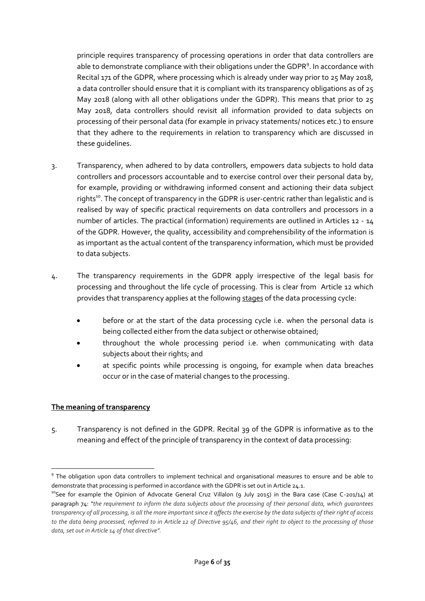principle requires transparency of processing operations in order that data controllers are able to demonstrate compliance with their obligations under the GDPR<sup>9</sup>. In accordance with Recital 171 of the GDPR, where processing which is already under way prior to 25 May 2018, a data controller should ensure that it is compliant with its transparency obligations as of 25 May 2018 (along with all other obligations under the GDPR). This means that prior to 25 May 2018, data controllers should revisit all information provided to data subjects on processing of their personal data (for example in privacy statements/ notices etc.) to ensure that they adhere to the requirements in relation to transparency which are discussed in these guidelines.

- 3. Transparency, when adhered to by data controllers, empowers data subjects to hold data controllers and processors accountable and to exercise control over their personal data by, for example, providing or withdrawing informed consent and actioning their data subject rights<sup>10</sup>. The concept of transparency in the GDPR is user-centric rather than legalistic and is realised by way of specific practical requirements on data controllers and processors in a number of articles. The practical (information) requirements are outlined in Articles 12 - 14 of the GDPR. However, the quality, accessibility and comprehensibility of the information is as important as the actual content of the transparency information, which must be provided to data subjects.
- 4. The transparency requirements in the GDPR apply irrespective of the legal basis for processing and throughout the life cycle of processing. This is clear from Article 12 which provides that transparency applies at the following stages of the data processing cycle:
	- before or at the start of the data processing cycle i.e. when the personal data is being collected either from the data subject or otherwise obtained;
	- throughout the whole processing period i.e. when communicating with data subjects about their rights; and
	- at specific points while processing is ongoing, for example when data breaches occur or in the case of material changes to the processing.

# <span id="page-5-0"></span>**The meaning of transparency**

5. Transparency is not defined in the GDPR. Recital 39 of the GDPR is informative as to the meaning and effect of the principle of transparency in the context of data processing:

 $\overline{a}$ <sup>9</sup> The obligation upon data controllers to implement technical and organisational measures to ensure and be able to demonstrate that processing is performed in accordance with the GDPR is set out in Article 24.1.

<sup>&</sup>lt;sup>10</sup>See for example the Opinion of Advocate General Cruz Villalon (9 July 2015) in the Bara case (Case C-201/14) at paragraph 74: *"the requirement to inform the data subjects about the processing of their personal data, which guarantees transparency of all processing, is all the more important since it affects the exercise by the data subjects of their right of access to the data being processed, referred to in Article 12 of Directive 95/46, and their right to object to the processing of those data, set out in Article 14 of that directive".*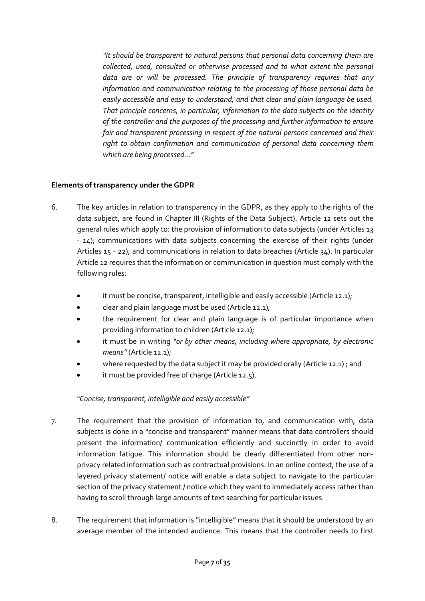*"It should be transparent to natural persons that personal data concerning them are collected, used, consulted or otherwise processed and to what extent the personal data are or will be processed. The principle of transparency requires that any information and communication relating to the processing of those personal data be easily accessible and easy to understand, and that clear and plain language be used. That principle concerns, in particular, information to the data subjects on the identity of the controller and the purposes of the processing and further information to ensure fair and transparent processing in respect of the natural persons concerned and their right to obtain confirmation and communication of personal data concerning them which are being processed…"*

### <span id="page-6-0"></span>**Elements of transparency under the GDPR**

- 6. The key articles in relation to transparency in the GDPR, as they apply to the rights of the data subject, are found in Chapter III (Rights of the Data Subject). Article 12 sets out the general rules which apply to: the provision of information to data subjects (under Articles 13 - 14); communications with data subjects concerning the exercise of their rights (under Articles 15 - 22); and communications in relation to data breaches (Article 34). In particular Article 12 requires that the information or communication in question must comply with the following rules:
	- it must be concise, transparent, intelligible and easily accessible (Article 12.1);
	- clear and plain language must be used (Article 12.1);
	- the requirement for clear and plain language is of particular importance when providing information to children (Article 12.1);
	- it must be in writing *"or by other means, including where appropriate, by electronic means"*(Article 12.1);
	- where requested by the data subject it may be provided orally (Article 12.1) ; and
	- it must be provided free of charge (Article 12.5).

#### *"Concise, transparent, intelligible and easily accessible"*

- <span id="page-6-1"></span>7. The requirement that the provision of information to, and communication with, data subjects is done in a "concise and transparent" manner means that data controllers should present the information/ communication efficiently and succinctly in order to avoid information fatigue. This information should be clearly differentiated from other nonprivacy related information such as contractual provisions. In an online context, the use of a layered privacy statement/ notice will enable a data subject to navigate to the particular section of the privacy statement / notice which they want to immediately access rather than having to scroll through large amounts of text searching for particular issues.
- 8. The requirement that information is "intelligible" means that it should be understood by an average member of the intended audience. This means that the controller needs to first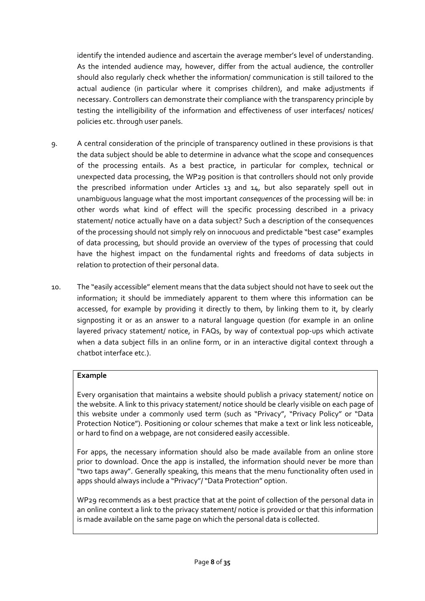identify the intended audience and ascertain the average member's level of understanding. As the intended audience may, however, differ from the actual audience, the controller should also regularly check whether the information/ communication is still tailored to the actual audience (in particular where it comprises children), and make adjustments if necessary. Controllers can demonstrate their compliance with the transparency principle by testing the intelligibility of the information and effectiveness of user interfaces/ notices/ policies etc. through user panels.

- 9. A central consideration of the principle of transparency outlined in these provisions is that the data subject should be able to determine in advance what the scope and consequences of the processing entails. As a best practice, in particular for complex, technical or unexpected data processing, the WP29 position is that controllers should not only provide the prescribed information under Articles 13 and 14, but also separately spell out in unambiguous language what the most important *consequences* of the processing will be: in other words what kind of effect will the specific processing described in a privacy statement/ notice actually have on a data subject? Such a description of the consequences of the processing should not simply rely on innocuous and predictable "best case" examples of data processing, but should provide an overview of the types of processing that could have the highest impact on the fundamental rights and freedoms of data subjects in relation to protection of their personal data.
- 10. The "easily accessible" element means that the data subject should not have to seek out the information; it should be immediately apparent to them where this information can be accessed, for example by providing it directly to them, by linking them to it, by clearly signposting it or as an answer to a natural language question (for example in an online layered privacy statement/ notice, in FAQs, by way of contextual pop-ups which activate when a data subject fills in an online form, or in an interactive digital context through a chatbot interface etc.).

# **Example**

Every organisation that maintains a website should publish a privacy statement/ notice on the website. A link to this privacy statement/ notice should be clearly visible on each page of this website under a commonly used term (such as "Privacy", "Privacy Policy" or "Data Protection Notice"). Positioning or colour schemes that make a text or link less noticeable, or hard to find on a webpage, are not considered easily accessible.

For apps, the necessary information should also be made available from an online store prior to download. Once the app is installed, the information should never be more than "two taps away". Generally speaking, this means that the menu functionality often used in apps should always include a "Privacy"/ "Data Protection" option.

WP29 recommends as a best practice that at the point of collection of the personal data in an online context a link to the privacy statement/ notice is provided or that this information is made available on the same page on which the personal data is collected.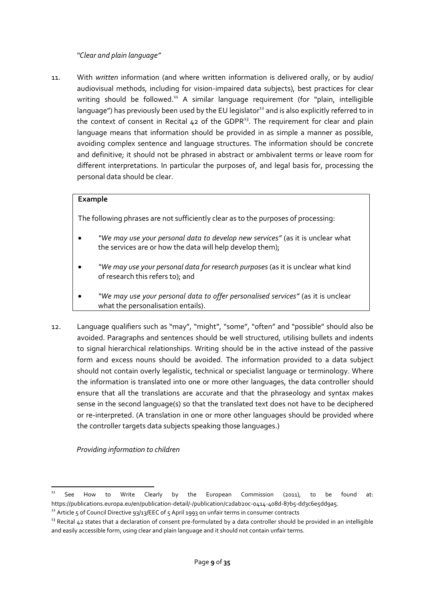### *"Clear and plain language"*

<span id="page-8-0"></span>11. With *written* information (and where written information is delivered orally, or by audio/ audiovisual methods, including for vision-impaired data subjects), best practices for clear writing should be followed.<sup>11</sup> A similar language requirement (for "plain, intelligible language") has previously been used by the EU legislator<sup>12</sup> and is also explicitly referred to in the context of consent in Recital  $42$  of the GDPR<sup>13</sup>. The requirement for clear and plain language means that information should be provided in as simple a manner as possible, avoiding complex sentence and language structures. The information should be concrete and definitive; it should not be phrased in abstract or ambivalent terms or leave room for different interpretations. In particular the purposes of, and legal basis for, processing the personal data should be clear.

### **Example**

The following phrases are not sufficiently clear as to the purposes of processing:

- *"We may use your personal data to develop new services"* (as it is unclear what the services are or how the data will help develop them);
- *"We may use your personal data for research purposes* (as it is unclear what kind of research this refers to); and
- *"We may use your personal data to offer personalised services"* (as it is unclear what the personalisation entails).
- 12. Language qualifiers such as "may", "might", "some", "often" and "possible" should also be avoided. Paragraphs and sentences should be well structured, utilising bullets and indents to signal hierarchical relationships. Writing should be in the active instead of the passive form and excess nouns should be avoided. The information provided to a data subject should not contain overly legalistic, technical or specialist language or terminology. Where the information is translated into one or more other languages, the data controller should ensure that all the translations are accurate and that the phraseology and syntax makes sense in the second language(s) so that the translated text does not have to be deciphered or re-interpreted. (A translation in one or more other languages should be provided where the controller targets data subjects speaking those languages.)

<span id="page-8-1"></span>*Providing information to children*

1

See How to Write Clearly by the European Commission (2011), to be found at: https://publications.europa.eu/en/publication-detail/-/publication/c2dab20c-0414-408d-87b5-dd3c6e5dd9a5.

<sup>&</sup>lt;sup>12</sup> Article 5 of Council Directive 93/13/EEC of 5 April 1993 on unfair terms in consumer contracts

 $13$  Recital 42 states that a declaration of consent pre-formulated by a data controller should be provided in an intelligible and easily accessible form, using clear and plain language and it should not contain unfair terms.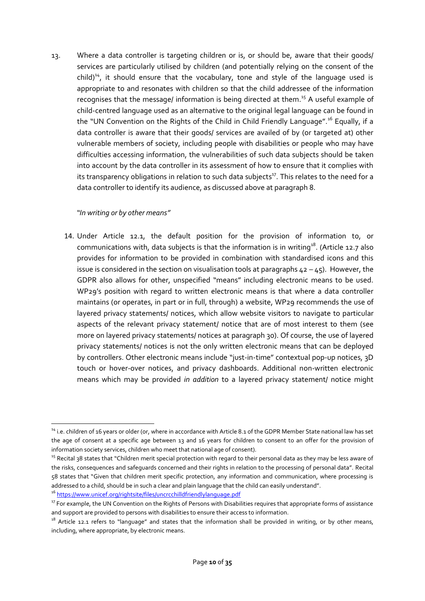13. Where a data controller is targeting children or is, or should be, aware that their goods/ services are particularly utilised by children (and potentially relying on the consent of the  $\text{child}$ <sup>14</sup>, it should ensure that the vocabulary, tone and style of the language used is appropriate to and resonates with children so that the child addressee of the information recognises that the message/ information is being directed at them.<sup>15</sup> A useful example of child-centred language used as an alternative to the original legal language can be found in the "UN Convention on the Rights of the Child in Child Friendly Language".<sup>16</sup> Equally, if a data controller is aware that their goods/ services are availed of by (or targeted at) other vulnerable members of society, including people with disabilities or people who may have difficulties accessing information, the vulnerabilities of such data subjects should be taken into account by the data controller in its assessment of how to ensure that it complies with its transparency obligations in relation to such data subjects<sup>17</sup>. This relates to the need for a data controller to identify its audience, as discussed above at paragraph 8.

### <span id="page-9-0"></span>*"In writing or by other means"*

1

14. Under Article 12.1, the default position for the provision of information to, or communications with, data subjects is that the information is in writing<sup>18</sup>. (Article 12.7 also provides for information to be provided in combination with standardised icons and this issue is considered in the section on visualisation tools at paragraphs  $42 - 45$ ). However, the GDPR also allows for other, unspecified "means" including electronic means to be used. WP29's position with regard to written electronic means is that where a data controller maintains (or operates, in part or in full, through) a website, WP29 recommends the use of layered privacy statements/ notices, which allow website visitors to navigate to particular aspects of the relevant privacy statement/ notice that are of most interest to them (see more on layered privacy statements/ notices at paragraph 30). Of course, the use of layered privacy statements/ notices is not the only written electronic means that can be deployed by controllers. Other electronic means include "just-in-time" contextual pop-up notices, 3D touch or hover-over notices, and privacy dashboards. Additional non-written electronic means which may be provided *in addition* to a layered privacy statement/ notice might

<sup>&</sup>lt;sup>14</sup> i.e. children of 16 years or older (or, where in accordance with Article 8.1 of the GDPR Member State national law has set the age of consent at a specific age between 13 and 16 years for children to consent to an offer for the provision of information society services, children who meet that national age of consent).

<sup>&</sup>lt;sup>15</sup> Recital 38 states that "Children merit special protection with regard to their personal data as they may be less aware of the risks, consequences and safeguards concerned and their rights in relation to the processing of personal data". Recital 58 states that "Given that children merit specific protection, any information and communication, where processing is addressed to a child, should be in such a clear and plain language that the child can easily understand". <sup>16</sup> <https://www.unicef.org/rightsite/files/uncrcchilldfriendlylanguage.pdf>

<sup>&</sup>lt;sup>17</sup> For example, the UN Convention on the Rights of Persons with Disabilities requires that appropriate forms of assistance and support are provided to persons with disabilities to ensure their access to information.

<sup>&</sup>lt;sup>18</sup> Article 12.1 refers to "language" and states that the information shall be provided in writing, or by other means, including, where appropriate, by electronic means.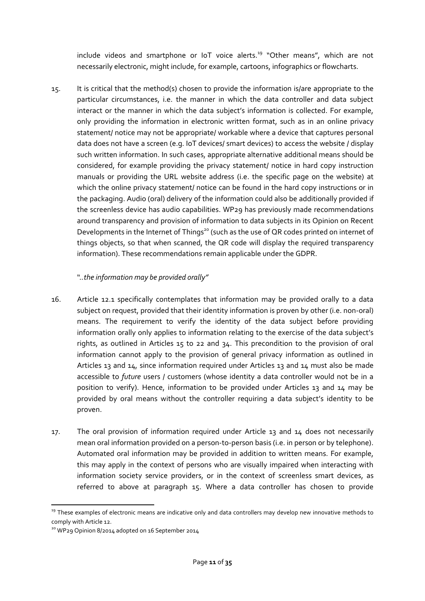include videos and smartphone or IoT voice alerts.<sup>19</sup> "Other means", which are not necessarily electronic, might include, for example, cartoons, infographics or flowcharts.

15. It is critical that the method(s) chosen to provide the information is/are appropriate to the particular circumstances, i.e. the manner in which the data controller and data subject interact or the manner in which the data subject's information is collected. For example, only providing the information in electronic written format, such as in an online privacy statement/ notice may not be appropriate/ workable where a device that captures personal data does not have a screen (e.g. IoT devices/ smart devices) to access the website / display such written information. In such cases, appropriate alternative additional means should be considered, for example providing the privacy statement/ notice in hard copy instruction manuals or providing the URL website address (i.e. the specific page on the website) at which the online privacy statement/ notice can be found in the hard copy instructions or in the packaging. Audio (oral) delivery of the information could also be additionally provided if the screenless device has audio capabilities. WP29 has previously made recommendations around transparency and provision of information to data subjects in its Opinion on Recent Developments in the Internet of Things<sup>20</sup> (such as the use of QR codes printed on internet of things objects, so that when scanned, the QR code will display the required transparency information). These recommendations remain applicable under the GDPR.

### *"..the information may be provided orally"*

- <span id="page-10-0"></span>16. Article 12.1 specifically contemplates that information may be provided orally to a data subject on request, provided that their identity information is proven by other (i.e. non-oral) means. The requirement to verify the identity of the data subject before providing information orally only applies to information relating to the exercise of the data subject's rights, as outlined in Articles 15 to 22 and 34. This precondition to the provision of oral information cannot apply to the provision of general privacy information as outlined in Articles 13 and 14, since information required under Articles 13 and 14 must also be made accessible to *future* users / customers (whose identity a data controller would not be in a position to verify). Hence, information to be provided under Articles 13 and 14 may be provided by oral means without the controller requiring a data subject's identity to be proven.
- 17. The oral provision of information required under Article 13 and 14 does not necessarily mean oral information provided on a person-to-person basis (i.e. in person or by telephone). Automated oral information may be provided in addition to written means. For example, this may apply in the context of persons who are visually impaired when interacting with information society service providers, or in the context of screenless smart devices, as referred to above at paragraph 15. Where a data controller has chosen to provide

1

<sup>&</sup>lt;sup>19</sup> These examples of electronic means are indicative only and data controllers may develop new innovative methods to comply with Article 12.

<sup>&</sup>lt;sup>20</sup> WP29 Opinion 8/2014 adopted on 16 September 2014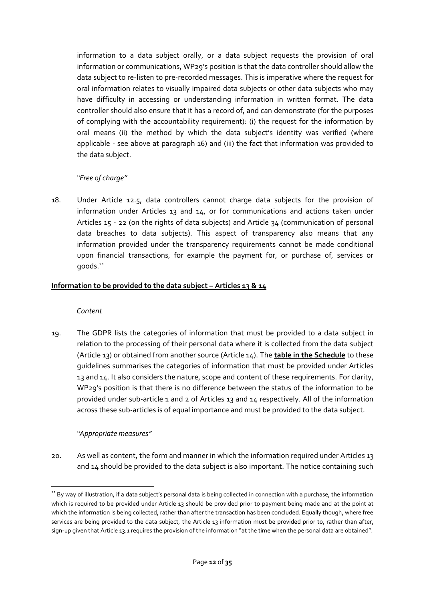information to a data subject orally, or a data subject requests the provision of oral information or communications, WP29's position is that the data controller should allow the data subject to re-listen to pre-recorded messages. This is imperative where the request for oral information relates to visually impaired data subjects or other data subjects who may have difficulty in accessing or understanding information in written format. The data controller should also ensure that it has a record of, and can demonstrate (for the purposes of complying with the accountability requirement): (i) the request for the information by oral means (ii) the method by which the data subject's identity was verified (where applicable - see above at paragraph 16) and (iii) the fact that information was provided to the data subject.

# *"Free of charge"*

<span id="page-11-0"></span>18. Under Article 12.5, data controllers cannot charge data subjects for the provision of information under Articles 13 and 14, or for communications and actions taken under Articles 15 - 22 (on the rights of data subjects) and Article 34 (communication of personal data breaches to data subjects). This aspect of transparency also means that any information provided under the transparency requirements cannot be made conditional upon financial transactions, for example the payment for, or purchase of, services or  $q$ oods. $21$ 

### <span id="page-11-2"></span><span id="page-11-1"></span>**Information to be provided to the data subject – Articles 13 & 14**

#### *Content*

19. The GDPR lists the categories of information that must be provided to a data subject in relation to the processing of their personal data where it is collected from the data subject (Article 13) or obtained from another source (Article 14). The **table in the Schedule** to these guidelines summarises the categories of information that must be provided under Articles 13 and 14. It also considers the nature, scope and content of these requirements. For clarity, WP29's position is that there is no difference between the status of the information to be provided under sub-article 1 and 2 of Articles 13 and 14 respectively. All of the information across these sub-articles is of equal importance and must be provided to the data subject.

# *"Appropriate measures"*

<span id="page-11-3"></span>20. As well as content, the form and manner in which the information required under Articles 13 and 14 should be provided to the data subject is also important. The notice containing such

<sup>1</sup> <sup>21</sup> By way of illustration, if a data subject's personal data is being collected in connection with a purchase, the information which is required to be provided under Article 13 should be provided prior to payment being made and at the point at which the information is being collected, rather than after the transaction has been concluded. Equally though, where free services are being provided to the data subject, the Article 13 information must be provided prior to, rather than after, sign-up given that Article 13.1 requires the provision of the information "at the time when the personal data are obtained".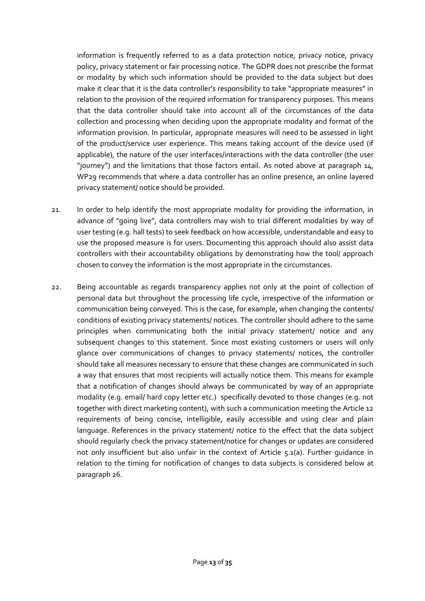information is frequently referred to as a data protection notice, privacy notice, privacy policy, privacy statement or fair processing notice. The GDPR does not prescribe the format or modality by which such information should be provided to the data subject but does make it clear that it is the data controller's responsibility to take "appropriate measures" in relation to the provision of the required information for transparency purposes. This means that the data controller should take into account all of the circumstances of the data collection and processing when deciding upon the appropriate modality and format of the information provision. In particular, appropriate measures will need to be assessed in light of the product/service user experience. This means taking account of the device used (if applicable), the nature of the user interfaces/interactions with the data controller (the user "journey") and the limitations that those factors entail. As noted above at paragraph 14, WP29 recommends that where a data controller has an online presence, an online layered privacy statement/ notice should be provided.

- 21. In order to help identify the most appropriate modality for providing the information, in advance of "going live", data controllers may wish to trial different modalities by way of user testing (e.g. hall tests) to seek feedback on how accessible, understandable and easy to use the proposed measure is for users. Documenting this approach should also assist data controllers with their accountability obligations by demonstrating how the tool/ approach chosen to convey the information is the most appropriate in the circumstances.
- <span id="page-12-0"></span>22. Being accountable as regards transparency applies not only at the point of collection of personal data but throughout the processing life cycle, irrespective of the information or communication being conveyed. This is the case, for example, when changing the contents/ conditions of existing privacy statements/ notices. The controller should adhere to the same principles when communicating both the initial privacy statement/ notice and any subsequent changes to this statement. Since most existing customers or users will only glance over communications of changes to privacy statements/ notices, the controller should take all measures necessary to ensure that these changes are communicated in such a way that ensures that most recipients will actually notice them. This means for example that a notification of changes should always be communicated by way of an appropriate modality (e.g. email/ hard copy letter etc.) specifically devoted to those changes (e.g. not together with direct marketing content), with such a communication meeting the Article 12 requirements of being concise, intelligible, easily accessible and using clear and plain language. References in the privacy statement/ notice to the effect that the data subject should regularly check the privacy statement/notice for changes or updates are considered not only insufficient but also unfair in the context of Article 5.1(a). Further guidance in relation to the timing for notification of changes to data subjects is considered below at paragraph 26.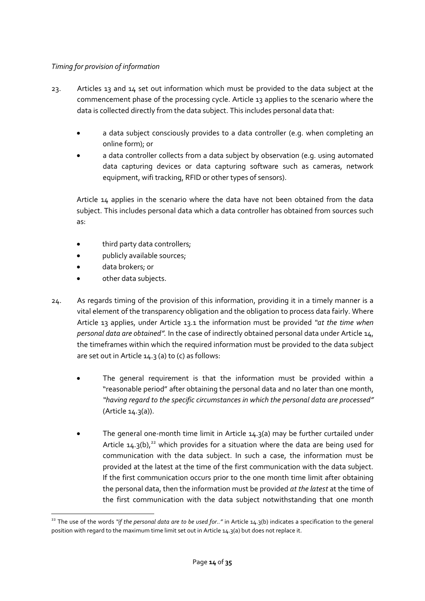# *Timing for provision of information*

- 23. Articles 13 and 14 set out information which must be provided to the data subject at the commencement phase of the processing cycle. Article 13 applies to the scenario where the data is collected directly from the data subject. This includes personal data that:
	- a data subject consciously provides to a data controller (e.g. when completing an online form); or
	- a data controller collects from a data subject by observation (e.g. using automated data capturing devices or data capturing software such as cameras, network equipment, wifi tracking, RFID or other types of sensors).

Article 14 applies in the scenario where the data have not been obtained from the data subject. This includes personal data which a data controller has obtained from sources such as:

- third party data controllers;
- publicly available sources;
- data brokers; or
- other data subjects.
- 24. As regards timing of the provision of this information, providing it in a timely manner is a vital element of the transparency obligation and the obligation to process data fairly. Where Article 13 applies, under Article 13.1 the information must be provided *"at the time when personal data are obtained".* In the case of indirectly obtained personal data under Article 14, the timeframes within which the required information must be provided to the data subject are set out in Article 14.3 (a) to (c) as follows:
	- The general requirement is that the information must be provided within a "reasonable period" after obtaining the personal data and no later than one month, *"having regard to the specific circumstances in which the personal data are processed"* (Article 14.3(a)).
	- The general one-month time limit in Article 14.3(a) may be further curtailed under Article  $14.3(b)$ ,<sup>22</sup> which provides for a situation where the data are being used for communication with the data subject. In such a case, the information must be provided at the latest at the time of the first communication with the data subject. If the first communication occurs prior to the one month time limit after obtaining the personal data, then the information must be provided *at the latest* at the time of the first communication with the data subject notwithstanding that one month

**<sup>.</sup>** <sup>22</sup> The use of the words "if the personal data are to be used for.." in Article 14.3(b) indicates a specification to the general position with regard to the maximum time limit set out in Article 14.3(a) but does not replace it.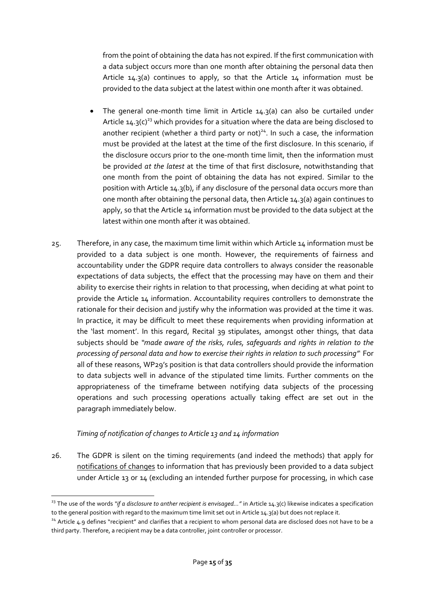from the point of obtaining the data has not expired. If the first communication with a data subject occurs more than one month after obtaining the personal data then Article 14.3(a) continues to apply, so that the Article 14 information must be provided to the data subject at the latest within one month after it was obtained.

- The general one-month time limit in Article 14.3(a) can also be curtailed under Article 14.3(c)<sup>23</sup> which provides for a situation where the data are being disclosed to another recipient (whether a third party or not) $^{24}$ . In such a case, the information must be provided at the latest at the time of the first disclosure. In this scenario, if the disclosure occurs prior to the one-month time limit, then the information must be provided *at the latest* at the time of that first disclosure, notwithstanding that one month from the point of obtaining the data has not expired. Similar to the position with Article 14.3(b), if any disclosure of the personal data occurs more than one month after obtaining the personal data, then Article 14.3(a) again continues to apply, so that the Article 14 information must be provided to the data subject at the latest within one month after it was obtained.
- 25. Therefore, in any case, the maximum time limit within which Article 14 information must be provided to a data subject is one month. However, the requirements of fairness and accountability under the GDPR require data controllers to always consider the reasonable expectations of data subjects, the effect that the processing may have on them and their ability to exercise their rights in relation to that processing, when deciding at what point to provide the Article 14 information. Accountability requires controllers to demonstrate the rationale for their decision and justify why the information was provided at the time it was. In practice, it may be difficult to meet these requirements when providing information at the 'last moment'. In this regard, Recital 39 stipulates, amongst other things, that data subjects should be *"made aware of the risks, rules, safeguards and rights in relation to the processing of personal data and how to exercise their rights in relation to such processing".* For all of these reasons, WP29's position is that data controllers should provide the information to data subjects well in advance of the stipulated time limits. Further comments on the appropriateness of the timeframe between notifying data subjects of the processing operations and such processing operations actually taking effect are set out in the paragraph immediately below.

# *Timing of notification of changes to Article 13 and 14 information*

<span id="page-14-0"></span>26. The GDPR is silent on the timing requirements (and indeed the methods) that apply for notifications of changes to information that has previously been provided to a data subject under Article 13 or 14 (excluding an intended further purpose for processing, in which case

**<sup>.</sup>** <sup>23</sup> The use of the words "if a disclosure to anther recipient is envisaged..." in Article 14.3(c) likewise indicates a specification to the general position with regard to the maximum time limit set out in Article 14.3(a) but does not replace it.

<sup>&</sup>lt;sup>24</sup> Article 4.9 defines "recipient" and clarifies that a recipient to whom personal data are disclosed does not have to be a third party. Therefore, a recipient may be a data controller, joint controller or processor.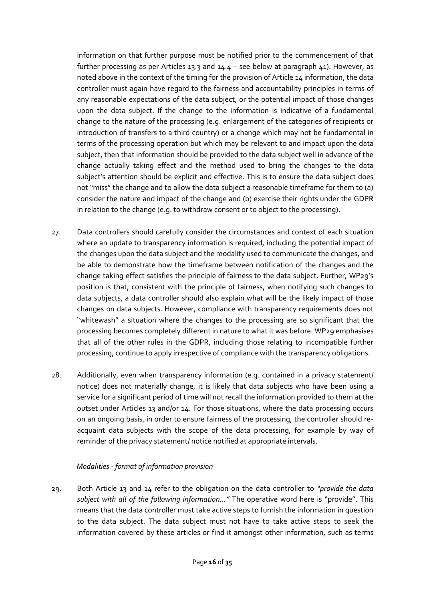information on that further purpose must be notified prior to the commencement of that further processing as per Articles 13.3 and 14.4 – see below at paragraph 41). However, as noted above in the context of the timing for the provision of Article 14 information, the data controller must again have regard to the fairness and accountability principles in terms of any reasonable expectations of the data subject, or the potential impact of those changes upon the data subject. If the change to the information is indicative of a fundamental change to the nature of the processing (e.g. enlargement of the categories of recipients or introduction of transfers to a third country) or a change which may not be fundamental in terms of the processing operation but which may be relevant to and impact upon the data subject, then that information should be provided to the data subject well in advance of the change actually taking effect and the method used to bring the changes to the data subject's attention should be explicit and effective. This is to ensure the data subject does not "miss" the change and to allow the data subject a reasonable timeframe for them to (a) consider the nature and impact of the change and (b) exercise their rights under the GDPR in relation to the change (e.g. to withdraw consent or to object to the processing).

- 27. Data controllers should carefully consider the circumstances and context of each situation where an update to transparency information is required, including the potential impact of the changes upon the data subject and the modality used to communicate the changes, and be able to demonstrate how the timeframe between notification of the changes and the change taking effect satisfies the principle of fairness to the data subject. Further, WP29's position is that, consistent with the principle of fairness, when notifying such changes to data subjects, a data controller should also explain what will be the likely impact of those changes on data subjects. However, compliance with transparency requirements does not "whitewash" a situation where the changes to the processing are so significant that the processing becomes completely different in nature to what it was before. WP29 emphasises that all of the other rules in the GDPR, including those relating to incompatible further processing, continue to apply irrespective of compliance with the transparency obligations.
- 28. Additionally, even when transparency information (e.g. contained in a privacy statement/ notice) does not materially change, it is likely that data subjects who have been using a service for a significant period of time will not recall the information provided to them at the outset under Articles 13 and/or 14. For those situations, where the data processing occurs on an ongoing basis, in order to ensure fairness of the processing, the controller should reacquaint data subjects with the scope of the data processing, for example by way of reminder of the privacy statement/ notice notified at appropriate intervals.

# *Modalities - format of information provision*

<span id="page-15-0"></span>29. Both Article 13 and 14 refer to the obligation on the data controller to *"provide the data subject with all of the following information..."* The operative word here is "provide". This means that the data controller must take active steps to furnish the information in question to the data subject. The data subject must not have to take active steps to seek the information covered by these articles or find it amongst other information, such as terms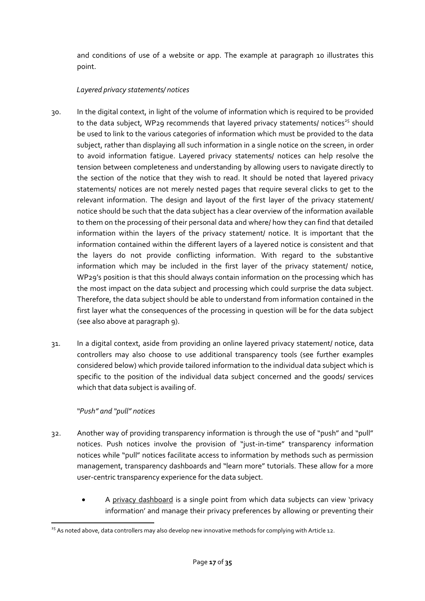and conditions of use of a website or app. The example at paragraph 10 illustrates this point.

# *Layered privacy statements/ notices*

- <span id="page-16-0"></span>30. In the digital context, in light of the volume of information which is required to be provided to the data subject, WP29 recommends that layered privacy statements/ notices<sup>25</sup> should be used to link to the various categories of information which must be provided to the data subject, rather than displaying all such information in a single notice on the screen, in order to avoid information fatigue. Layered privacy statements/ notices can help resolve the tension between completeness and understanding by allowing users to navigate directly to the section of the notice that they wish to read. It should be noted that layered privacy statements/ notices are not merely nested pages that require several clicks to get to the relevant information. The design and layout of the first layer of the privacy statement/ notice should be such that the data subject has a clear overview of the information available to them on the processing of their personal data and where/ how they can find that detailed information within the layers of the privacy statement/ notice. It is important that the information contained within the different layers of a layered notice is consistent and that the layers do not provide conflicting information. With regard to the substantive information which may be included in the first layer of the privacy statement/ notice, WP29's position is that this should always contain information on the processing which has the most impact on the data subject and processing which could surprise the data subject. Therefore, the data subject should be able to understand from information contained in the first layer what the consequences of the processing in question will be for the data subject (see also above at paragraph 9).
- 31. In a digital context, aside from providing an online layered privacy statement/ notice, data controllers may also choose to use additional transparency tools (see further examples considered below) which provide tailored information to the individual data subject which is specific to the position of the individual data subject concerned and the goods/ services which that data subject is availing of.

# *"Push" and "pull" notices*

- <span id="page-16-1"></span>32. Another way of providing transparency information is through the use of "push" and "pull" notices. Push notices involve the provision of "just-in-time" transparency information notices while "pull" notices facilitate access to information by methods such as permission management, transparency dashboards and "learn more" tutorials. These allow for a more user-centric transparency experience for the data subject.
	- A privacy dashboard is a single point from which data subjects can view 'privacy information' and manage their privacy preferences by allowing or preventing their

**<sup>.</sup>** <sup>25</sup> As noted above, data controllers may also develop new innovative methods for complying with Article 12.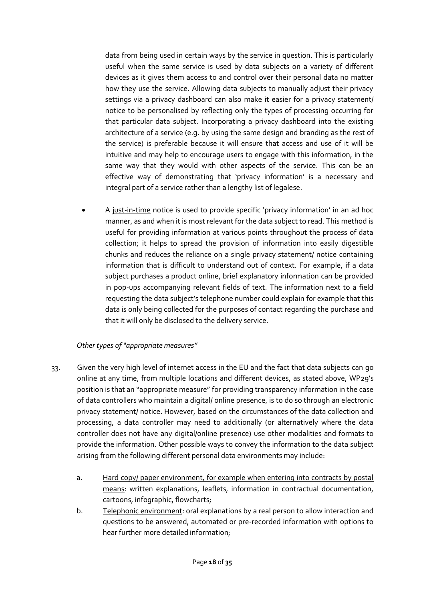data from being used in certain ways by the service in question. This is particularly useful when the same service is used by data subjects on a variety of different devices as it gives them access to and control over their personal data no matter how they use the service. Allowing data subjects to manually adjust their privacy settings via a privacy dashboard can also make it easier for a privacy statement/ notice to be personalised by reflecting only the types of processing occurring for that particular data subject. Incorporating a privacy dashboard into the existing architecture of a service (e.g. by using the same design and branding as the rest of the service) is preferable because it will ensure that access and use of it will be intuitive and may help to encourage users to engage with this information, in the same way that they would with other aspects of the service. This can be an effective way of demonstrating that 'privacy information' is a necessary and integral part of a service rather than a lengthy list of legalese.

 A just-in-time notice is used to provide specific 'privacy information' in an ad hoc manner, as and when it is most relevant for the data subject to read. This method is useful for providing information at various points throughout the process of data collection; it helps to spread the provision of information into easily digestible chunks and reduces the reliance on a single privacy statement/ notice containing information that is difficult to understand out of context. For example, if a data subject purchases a product online, brief explanatory information can be provided in pop-ups accompanying relevant fields of text. The information next to a field requesting the data subject's telephone number could explain for example that this data is only being collected for the purposes of contact regarding the purchase and that it will only be disclosed to the delivery service.

# *Other types of "appropriate measures"*

- <span id="page-17-0"></span>33. Given the very high level of internet access in the EU and the fact that data subjects can go online at any time, from multiple locations and different devices, as stated above, WP29's position is that an "appropriate measure" for providing transparency information in the case of data controllers who maintain a digital/ online presence, is to do so through an electronic privacy statement/ notice. However, based on the circumstances of the data collection and processing, a data controller may need to additionally (or alternatively where the data controller does not have any digital/online presence) use other modalities and formats to provide the information. Other possible ways to convey the information to the data subject arising from the following different personal data environments may include:
	- a. Hard copy/ paper environment, for example when entering into contracts by postal means: written explanations, leaflets, information in contractual documentation, cartoons, infographic, flowcharts;
	- b. Telephonic environment: oral explanations by a real person to allow interaction and questions to be answered, automated or pre-recorded information with options to hear further more detailed information;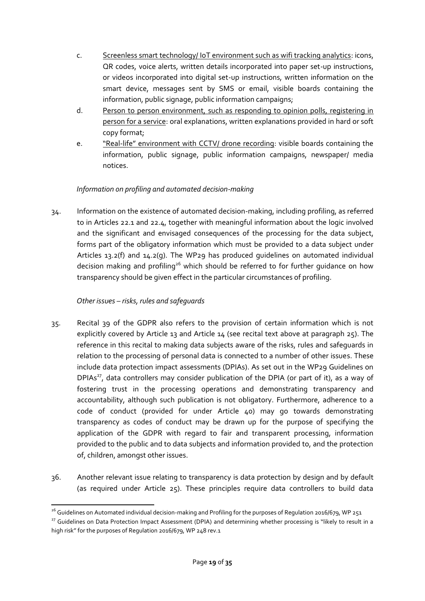- c. Screenless smart technology/ IoT environment such as wifi tracking analytics: icons, QR codes, voice alerts, written details incorporated into paper set-up instructions, or videos incorporated into digital set-up instructions, written information on the smart device, messages sent by SMS or email, visible boards containing the information, public signage, public information campaigns;
- d. Person to person environment, such as responding to opinion polls, registering in person for a service: oral explanations, written explanations provided in hard or soft copy format;
- e. "Real-life" environment with CCTV/ drone recording: visible boards containing the information, public signage, public information campaigns, newspaper/ media notices.

# *Information on profiling and automated decision-making*

<span id="page-18-0"></span>34. Information on the existence of automated decision-making, including profiling, as referred to in Articles 22.1 and 22.4, together with meaningful information about the logic involved and the significant and envisaged consequences of the processing for the data subject, forms part of the obligatory information which must be provided to a data subject under Articles 13.2(f) and 14.2(g). The WP29 has produced guidelines on automated individual decision making and profiling<sup>26</sup> which should be referred to for further guidance on how transparency should be given effect in the particular circumstances of profiling.

# *Other issues – risks, rules and safeguards*

- <span id="page-18-1"></span>35. Recital 39 of the GDPR also refers to the provision of certain information which is not explicitly covered by Article 13 and Article 14 (see recital text above at paragraph 25). The reference in this recital to making data subjects aware of the risks, rules and safeguards in relation to the processing of personal data is connected to a number of other issues. These include data protection impact assessments (DPIAs). As set out in the WP29 Guidelines on DPIAs<sup>27</sup>, data controllers may consider publication of the DPIA (or part of it), as a way of fostering trust in the processing operations and demonstrating transparency and accountability, although such publication is not obligatory. Furthermore, adherence to a code of conduct (provided for under Article 40) may go towards demonstrating transparency as codes of conduct may be drawn up for the purpose of specifying the application of the GDPR with regard to fair and transparent processing, information provided to the public and to data subjects and information provided to, and the protection of, children, amongst other issues.
- 36. Another relevant issue relating to transparency is data protection by design and by default (as required under Article 25). These principles require data controllers to build data

<sup>1</sup>  $^{26}$  Guidelines on Automated individual decision-making and Profiling for the purposes of Regulation 2016/679, WP 251

<sup>&</sup>lt;sup>27</sup> Guidelines on Data Protection Impact Assessment (DPIA) and determining whether processing is "likely to result in a high risk" for the purposes of Regulation 2016/679, WP 248 rev.1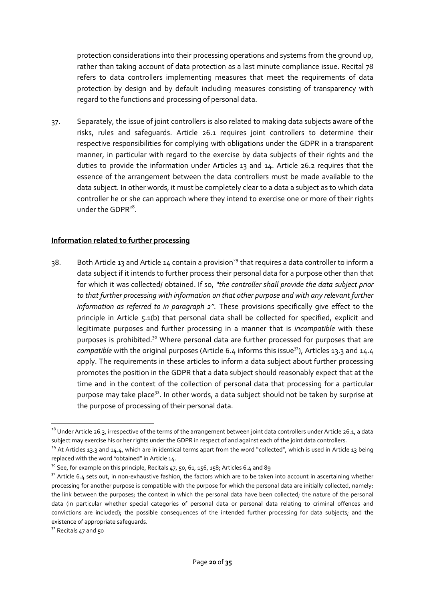protection considerations into their processing operations and systems from the ground up, rather than taking account of data protection as a last minute compliance issue. Recital 78 refers to data controllers implementing measures that meet the requirements of data protection by design and by default including measures consisting of transparency with regard to the functions and processing of personal data.

37. Separately, the issue of joint controllers is also related to making data subjects aware of the risks, rules and safeguards. Article 26.1 requires joint controllers to determine their respective responsibilities for complying with obligations under the GDPR in a transparent manner, in particular with regard to the exercise by data subjects of their rights and the duties to provide the information under Articles 13 and 14. Article 26.2 requires that the essence of the arrangement between the data controllers must be made available to the data subject. In other words, it must be completely clear to a data a subject as to which data controller he or she can approach where they intend to exercise one or more of their rights under the GDPR<sup>28</sup>.

### <span id="page-19-0"></span>**Information related to further processing**

38. Both Article 13 and Article 14 contain a provision<sup>29</sup> that requires a data controller to inform a data subject if it intends to further process their personal data for a purpose other than that for which it was collected/ obtained. If so, *"the controller shall provide the data subject prior to that further processing with information on that other purpose and with any relevant further information as referred to in paragraph 2".* These provisions specifically give effect to the principle in Article 5.1(b) that personal data shall be collected for specified, explicit and legitimate purposes and further processing in a manner that is *incompatible* with these purposes is prohibited.<sup>30</sup> Where personal data are further processed for purposes that are *compatible* with the original purposes (Article 6.4 informs this issue<sup>31</sup>), Articles 13.3 and 14.4 apply. The requirements in these articles to inform a data subject about further processing promotes the position in the GDPR that a data subject should reasonably expect that at the time and in the context of the collection of personal data that processing for a particular purpose may take place<sup>32</sup>. In other words, a data subject should not be taken by surprise at the purpose of processing of their personal data.

<sup>1</sup>  $^{28}$  Under Article 26.3, irrespective of the terms of the arrangement between joint data controllers under Article 26.1, a data subject may exercise his or her rights under the GDPR in respect of and against each of the joint data controllers.

 $29$  At Articles 13.3 and 14.4, which are in identical terms apart from the word "collected", which is used in Article 13 being replaced with the word "obtained" in Article 14.

 $30$  See, for example on this principle, Recitals 47, 50, 61, 156, 158; Articles 6.4 and 89

<sup>&</sup>lt;sup>31</sup> Article 6.4 sets out, in non-exhaustive fashion, the factors which are to be taken into account in ascertaining whether processing for another purpose is compatible with the purpose for which the personal data are initially collected, namely: the link between the purposes; the context in which the personal data have been collected; the nature of the personal data (in particular whether special categories of personal data or personal data relating to criminal offences and convictions are included); the possible consequences of the intended further processing for data subjects; and the existence of appropriate safeguards.

 $32$  Recitals 47 and 50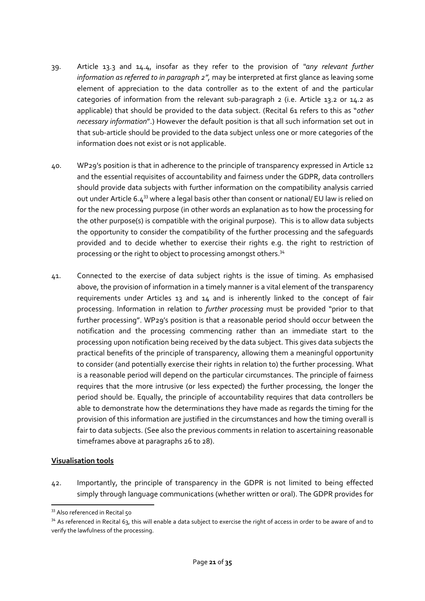- 39. Article 13.3 and 14.4, insofar as they refer to the provision of *"any relevant further information as referred to in paragraph 2",* may be interpreted at first glance as leaving some element of appreciation to the data controller as to the extent of and the particular categories of information from the relevant sub-paragraph 2 (i.e. Article 13.2 or 14.2 as applicable) that should be provided to the data subject. (Recital 61 refers to this as "*other necessary information*".) However the default position is that all such information set out in that sub-article should be provided to the data subject unless one or more categories of the information does not exist or is not applicable.
- 40. WP29's position is that in adherence to the principle of transparency expressed in Article 12 and the essential requisites of accountability and fairness under the GDPR, data controllers should provide data subjects with further information on the compatibility analysis carried out under Article 6.4<sup>33</sup> where a legal basis other than consent or national/ EU law is relied on for the new processing purpose (in other words an explanation as to how the processing for the other purpose(s) is compatible with the original purpose). This is to allow data subjects the opportunity to consider the compatibility of the further processing and the safeguards provided and to decide whether to exercise their rights e.g. the right to restriction of processing or the right to object to processing amongst others.<sup>34</sup>
- 41. Connected to the exercise of data subject rights is the issue of timing. As emphasised above, the provision of information in a timely manner is a vital element of the transparency requirements under Articles 13 and 14 and is inherently linked to the concept of fair processing. Information in relation to *further processing* must be provided "prior to that further processing". WP29's position is that a reasonable period should occur between the notification and the processing commencing rather than an immediate start to the processing upon notification being received by the data subject. This gives data subjects the practical benefits of the principle of transparency, allowing them a meaningful opportunity to consider (and potentially exercise their rights in relation to) the further processing. What is a reasonable period will depend on the particular circumstances. The principle of fairness requires that the more intrusive (or less expected) the further processing, the longer the period should be. Equally, the principle of accountability requires that data controllers be able to demonstrate how the determinations they have made as regards the timing for the provision of this information are justified in the circumstances and how the timing overall is fair to data subjects. (See also the previous comments in relation to ascertaining reasonable timeframes above at paragraphs 26 to 28).

#### <span id="page-20-0"></span>**Visualisation tools**

1

42. Importantly, the principle of transparency in the GDPR is not limited to being effected simply through language communications (whether written or oral). The GDPR provides for

<sup>33</sup> Also referenced in Recital 50

<sup>&</sup>lt;sup>34</sup> As referenced in Recital 63, this will enable a data subject to exercise the right of access in order to be aware of and to verify the lawfulness of the processing.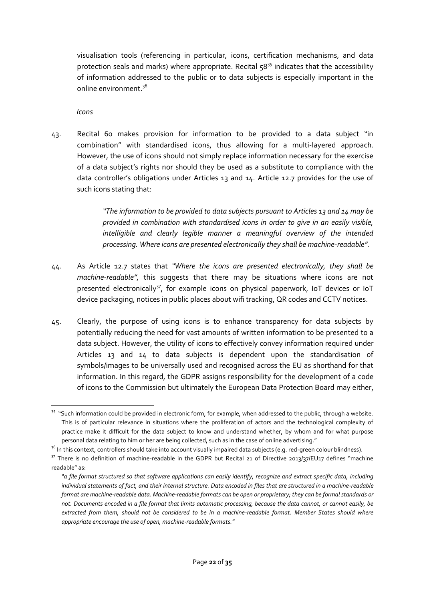visualisation tools (referencing in particular, icons, certification mechanisms, and data protection seals and marks) where appropriate. Recital  $58^{35}$  indicates that the accessibility of information addressed to the public or to data subjects is especially important in the online environment.<sup>36</sup>

*Icons*

<span id="page-21-0"></span>43. Recital 60 makes provision for information to be provided to a data subject "in combination" with standardised icons, thus allowing for a multi-layered approach. However, the use of icons should not simply replace information necessary for the exercise of a data subject's rights nor should they be used as a substitute to compliance with the data controller's obligations under Articles 13 and 14. Article 12.7 provides for the use of such icons stating that:

> *"The information to be provided to data subjects pursuant to Articles 13 and 14 may be provided in combination with standardised icons in order to give in an easily visible, intelligible and clearly legible manner a meaningful overview of the intended processing. Where icons are presented electronically they shall be machine-readable".*

- 44. As Article 12.7 states that *"Where the icons are presented electronically, they shall be machine-readable",* this suggests that there may be situations where icons are not presented electronically<sup>37</sup>, for example icons on physical paperwork, IoT devices or IoT device packaging, notices in public places about wifi tracking, QR codes and CCTV notices.
- 45. Clearly, the purpose of using icons is to enhance transparency for data subjects by potentially reducing the need for vast amounts of written information to be presented to a data subject. However, the utility of icons to effectively convey information required under Articles 13 and 14 to data subjects is dependent upon the standardisation of symbols/images to be universally used and recognised across the EU as shorthand for that information. In this regard, the GDPR assigns responsibility for the development of a code of icons to the Commission but ultimately the European Data Protection Board may either,

**<sup>.</sup>** <sup>35</sup> "Such information could be provided in electronic form, for example, when addressed to the public, through a website. This is of particular relevance in situations where the proliferation of actors and the technological complexity of practice make it difficult for the data subject to know and understand whether, by whom and for what purpose personal data relating to him or her are being collected, such as in the case of online advertising."

<sup>&</sup>lt;sup>36</sup> In this context, controllers should take into account visually impaired data subjects (e.g. red-green colour blindness).

 $37$  There is no definition of machine-readable in the GDPR but Recital 21 of Directive 2013/37/EU17 defines "machine readable" as:

*<sup>&</sup>quot;a file format structured so that software applications can easily identify, recognize and extract specific data, including individual statements of fact, and their internal structure. Data encoded in files that are structured in a machine-readable format are machine-readable data. Machine-readable formats can be open or proprietary; they can be formal standards or not. Documents encoded in a file format that limits automatic processing, because the data cannot, or cannot easily, be extracted from them, should not be considered to be in a machine-readable format. Member States should where appropriate encourage the use of open, machine-readable formats."*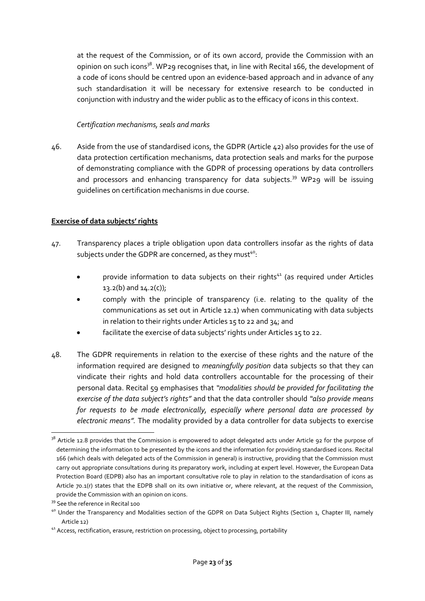at the request of the Commission, or of its own accord, provide the Commission with an opinion on such icons<sup>38</sup>. WP29 recognises that, in line with Recital 166, the development of a code of icons should be centred upon an evidence-based approach and in advance of any such standardisation it will be necessary for extensive research to be conducted in conjunction with industry and the wider public as to the efficacy of icons in this context.

### *Certification mechanisms, seals and marks*

<span id="page-22-0"></span>46. Aside from the use of standardised icons, the GDPR (Article 42) also provides for the use of data protection certification mechanisms, data protection seals and marks for the purpose of demonstrating compliance with the GDPR of processing operations by data controllers and processors and enhancing transparency for data subjects.<sup>39</sup> WP<sub>29</sub> will be issuing guidelines on certification mechanisms in due course.

### <span id="page-22-1"></span>**Exercise of data subjects' rights**

- 47. Transparency places a triple obligation upon data controllers insofar as the rights of data subjects under the GDPR are concerned, as they must<sup>40</sup>:
	- provide information to data subjects on their rights $41$  (as required under Articles  $13.2(b)$  and  $14.2(c)$ ;
	- comply with the principle of transparency (i.e. relating to the quality of the communications as set out in Article 12.1) when communicating with data subjects in relation to their rights under Articles 15 to 22 and 34; and
	- facilitate the exercise of data subjects' rights under Articles 15 to 22.
- 48. The GDPR requirements in relation to the exercise of these rights and the nature of the information required are designed to *meaningfully position* data subjects so that they can vindicate their rights and hold data controllers accountable for the processing of their personal data. Recital 59 emphasises that *"modalities should be provided for facilitating the exercise of the data subject's rights"* and that the data controller should *"also provide means for requests to be made electronically, especially where personal data are processed by electronic means".* The modality provided by a data controller for data subjects to exercise

**<sup>.</sup>** <sup>38</sup> Article 12.8 provides that the Commission is empowered to adopt delegated acts under Article 92 for the purpose of determining the information to be presented by the icons and the information for providing standardised icons. Recital 166 (which deals with delegated acts of the Commission in general) is instructive, providing that the Commission must carry out appropriate consultations during its preparatory work, including at expert level. However, the European Data Protection Board (EDPB) also has an important consultative role to play in relation to the standardisation of icons as Article 70.1(r) states that the EDPB shall on its own initiative or, where relevant, at the request of the Commission, provide the Commission with an opinion on icons.

<sup>&</sup>lt;sup>39</sup> See the reference in Recital 100

<sup>&</sup>lt;sup>40</sup> Under the Transparency and Modalities section of the GDPR on Data Subject Rights (Section 1, Chapter III, namely Article 12)

<sup>&</sup>lt;sup>41</sup> Access, rectification, erasure, restriction on processing, object to processing, portability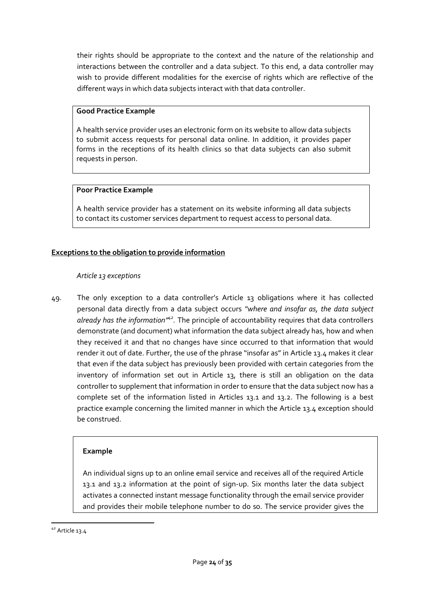their rights should be appropriate to the context and the nature of the relationship and interactions between the controller and a data subject. To this end, a data controller may wish to provide different modalities for the exercise of rights which are reflective of the different ways in which data subjects interact with that data controller.

### **Good Practice Example**

A health service provider uses an electronic form on its website to allow data subjects to submit access requests for personal data online. In addition, it provides paper forms in the receptions of its health clinics so that data subjects can also submit requests in person.

### **Poor Practice Example**

A health service provider has a statement on its website informing all data subjects to contact its customer services department to request access to personal data.

# <span id="page-23-1"></span><span id="page-23-0"></span>**Exceptions to the obligation to provide information**

#### *Article 13 exceptions*

49. The only exception to a data controller's Article 13 obligations where it has collected personal data directly from a data subject occurs *"where and insofar as, the data subject already has the information"<sup>42</sup> .* The principle of accountability requires that data controllers demonstrate (and document) what information the data subject already has, how and when they received it and that no changes have since occurred to that information that would render it out of date. Further, the use of the phrase "insofar as" in Article 13.4 makes it clear that even if the data subject has previously been provided with certain categories from the inventory of information set out in Article 13, there is still an obligation on the data controller to supplement that information in order to ensure that the data subject now has a complete set of the information listed in Articles 13.1 and 13.2. The following is a best practice example concerning the limited manner in which the Article 13.4 exception should be construed.

#### **Example**

An individual signs up to an online email service and receives all of the required Article 13.1 and 13.2 information at the point of sign-up. Six months later the data subject activates a connected instant message functionality through the email service provider and provides their mobile telephone number to do so. The service provider gives the

**.** 

<sup>42</sup> Article 13.4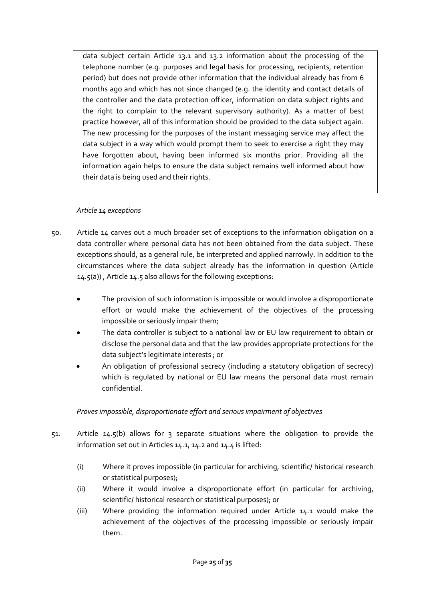data subject certain Article 13.1 and 13.2 information about the processing of the telephone number (e.g. purposes and legal basis for processing, recipients, retention period) but does not provide other information that the individual already has from 6 months ago and which has not since changed (e.g. the identity and contact details of the controller and the data protection officer, information on data subject rights and the right to complain to the relevant supervisory authority). As a matter of best practice however, all of this information should be provided to the data subject again. The new processing for the purposes of the instant messaging service may affect the data subject in a way which would prompt them to seek to exercise a right they may have forgotten about, having been informed six months prior. Providing all the information again helps to ensure the data subject remains well informed about how their data is being used and their rights.

### *Article 14 exceptions*

- <span id="page-24-0"></span>50. Article 14 carves out a much broader set of exceptions to the information obligation on a data controller where personal data has not been obtained from the data subject. These exceptions should, as a general rule, be interpreted and applied narrowly. In addition to the circumstances where the data subject already has the information in question (Article 14.5(a)) , Article 14.5 also allows for the following exceptions:
	- The provision of such information is impossible or would involve a disproportionate effort or would make the achievement of the objectives of the processing impossible or seriously impair them;
	- The data controller is subject to a national law or EU law requirement to obtain or disclose the personal data and that the law provides appropriate protections for the data subject's legitimate interests ; or
	- An obligation of professional secrecy (including a statutory obligation of secrecy) which is regulated by national or EU law means the personal data must remain confidential.

# *Proves impossible, disproportionate effort and serious impairment of objectives*

- <span id="page-24-1"></span>51. Article 14.5(b) allows for 3 separate situations where the obligation to provide the information set out in Articles 14.1, 14.2 and 14.4 is lifted:
	- (i) Where it proves impossible (in particular for archiving, scientific/ historical research or statistical purposes);
	- (ii) Where it would involve a disproportionate effort (in particular for archiving, scientific/ historical research or statistical purposes); or
	- (iii) Where providing the information required under Article 14.1 would make the achievement of the objectives of the processing impossible or seriously impair them.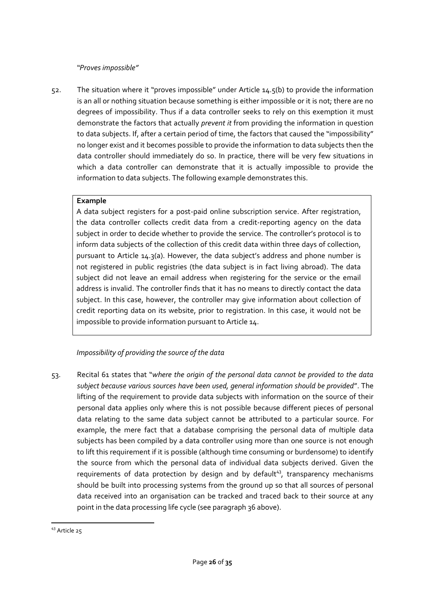#### *"Proves impossible"*

<span id="page-25-0"></span>52. The situation where it "proves impossible" under Article 14.5(b) to provide the information is an all or nothing situation because something is either impossible or it is not; there are no degrees of impossibility. Thus if a data controller seeks to rely on this exemption it must demonstrate the factors that actually *prevent it* from providing the information in question to data subjects. If, after a certain period of time, the factors that caused the "impossibility" no longer exist and it becomes possible to provide the information to data subjects then the data controller should immediately do so. In practice, there will be very few situations in which a data controller can demonstrate that it is actually impossible to provide the information to data subjects. The following example demonstrates this.

### **Example**

A data subject registers for a post-paid online subscription service. After registration, the data controller collects credit data from a credit-reporting agency on the data subject in order to decide whether to provide the service. The controller's protocol is to inform data subjects of the collection of this credit data within three days of collection, pursuant to Article 14.3(a). However, the data subject's address and phone number is not registered in public registries (the data subject is in fact living abroad). The data subject did not leave an email address when registering for the service or the email address is invalid. The controller finds that it has no means to directly contact the data subject. In this case, however, the controller may give information about collection of credit reporting data on its website, prior to registration. In this case, it would not be impossible to provide information pursuant to Article 14.

# *Impossibility of providing the source of the data*

<span id="page-25-1"></span>53. Recital 61 states that "*where the origin of the personal data cannot be provided to the data subject because various sources have been used, general information should be provided*". The lifting of the requirement to provide data subjects with information on the source of their personal data applies only where this is not possible because different pieces of personal data relating to the same data subject cannot be attributed to a particular source. For example, the mere fact that a database comprising the personal data of multiple data subjects has been compiled by a data controller using more than one source is not enough to lift this requirement if it is possible (although time consuming or burdensome) to identify the source from which the personal data of individual data subjects derived. Given the requirements of data protection by design and by default<sup>43</sup>, transparency mechanisms should be built into processing systems from the ground up so that all sources of personal data received into an organisation can be tracked and traced back to their source at any point in the data processing life cycle (see paragraph 36 above).

**<sup>.</sup>** <sup>43</sup> Article 25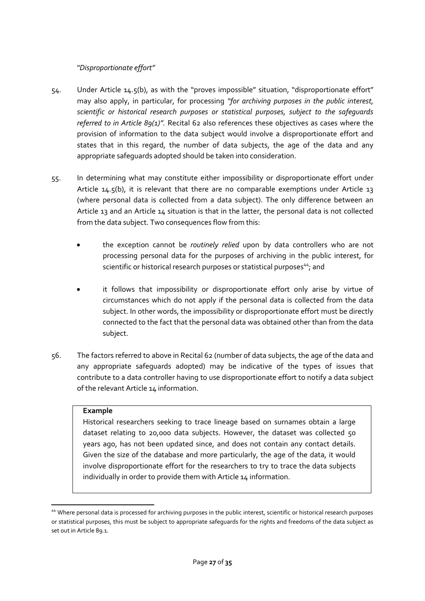*"Disproportionate effort"*

- <span id="page-26-0"></span>54. Under Article 14.5(b), as with the "proves impossible" situation, "disproportionate effort" may also apply, in particular, for processing *"for archiving purposes in the public interest, scientific or historical research purposes or statistical purposes, subject to the safeguards referred to in Article 89(1)".* Recital 62 also references these objectives as cases where the provision of information to the data subject would involve a disproportionate effort and states that in this regard, the number of data subjects, the age of the data and any appropriate safeguards adopted should be taken into consideration.
- 55. In determining what may constitute either impossibility or disproportionate effort under Article  $14.5(b)$ , it is relevant that there are no comparable exemptions under Article  $13$ (where personal data is collected from a data subject). The only difference between an Article 13 and an Article 14 situation is that in the latter, the personal data is not collected from the data subject. Two consequences flow from this:
	- the exception cannot be *routinely relied* upon by data controllers who are not processing personal data for the purposes of archiving in the public interest, for scientific or historical research purposes or statistical purposes<sup>44</sup>; and
	- it follows that impossibility or disproportionate effort only arise by virtue of circumstances which do not apply if the personal data is collected from the data subject. In other words, the impossibility or disproportionate effort must be directly connected to the fact that the personal data was obtained other than from the data subject.
- 56. The factors referred to above in Recital 62 (number of data subjects, the age of the data and any appropriate safeguards adopted) may be indicative of the types of issues that contribute to a data controller having to use disproportionate effort to notify a data subject of the relevant Article 14 information.

#### **Example**

1

Historical researchers seeking to trace lineage based on surnames obtain a large dataset relating to 20,000 data subjects. However, the dataset was collected 50 years ago, has not been updated since, and does not contain any contact details. Given the size of the database and more particularly, the age of the data, it would involve disproportionate effort for the researchers to try to trace the data subjects individually in order to provide them with Article 14 information.

<sup>44</sup> Where personal data is processed for archiving purposes in the public interest, scientific or historical research purposes or statistical purposes, this must be subject to appropriate safeguards for the rights and freedoms of the data subject as set out in Article 89.1.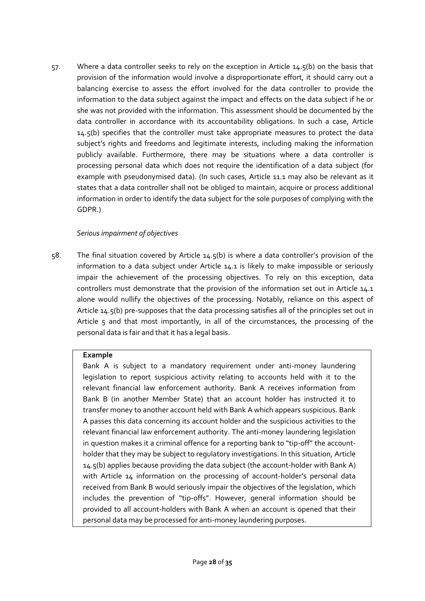57. Where a data controller seeks to rely on the exception in Article 14.5(b) on the basis that provision of the information would involve a disproportionate effort, it should carry out a balancing exercise to assess the effort involved for the data controller to provide the information to the data subject against the impact and effects on the data subject if he or she was not provided with the information. This assessment should be documented by the data controller in accordance with its accountability obligations. In such a case, Article 14.5(b) specifies that the controller must take appropriate measures to protect the data subject's rights and freedoms and legitimate interests, including making the information publicly available. Furthermore, there may be situations where a data controller is processing personal data which does not require the identification of a data subject (for example with pseudonymised data). (In such cases, Article 11.1 may also be relevant as it states that a data controller shall not be obliged to maintain, acquire or process additional information in order to identify the data subject for the sole purposes of complying with the GDPR.)

### *Serious impairment of objectives*

<span id="page-27-0"></span>58. The final situation covered by Article 14.5(b) is where a data controller's provision of the information to a data subject under Article 14.1 is likely to make impossible or seriously impair the achievement of the processing objectives. To rely on this exception, data controllers must demonstrate that the provision of the information set out in Article 14.1 alone would nullify the objectives of the processing. Notably, reliance on this aspect of Article 14.5(b) pre-supposes that the data processing satisfies all of the principles set out in Article 5 and that most importantly, in all of the circumstances, the processing of the personal data is fair and that it has a legal basis.

# **Example**

Bank A is subject to a mandatory requirement under anti-money laundering legislation to report suspicious activity relating to accounts held with it to the relevant financial law enforcement authority. Bank A receives information from Bank B (in another Member State) that an account holder has instructed it to transfer money to another account held with Bank A which appears suspicious. Bank A passes this data concerning its account holder and the suspicious activities to the relevant financial law enforcement authority. The anti-money laundering legislation in question makes it a criminal offence for a reporting bank to "tip-off" the accountholder that they may be subject to regulatory investigations. In this situation, Article 14.5(b) applies because providing the data subject (the account-holder with Bank A) with Article 14 information on the processing of account-holder's personal data received from Bank B would seriously impair the objectives of the legislation, which includes the prevention of "tip-offs". However, general information should be provided to all account-holders with Bank A when an account is opened that their personal data may be processed for anti-money laundering purposes.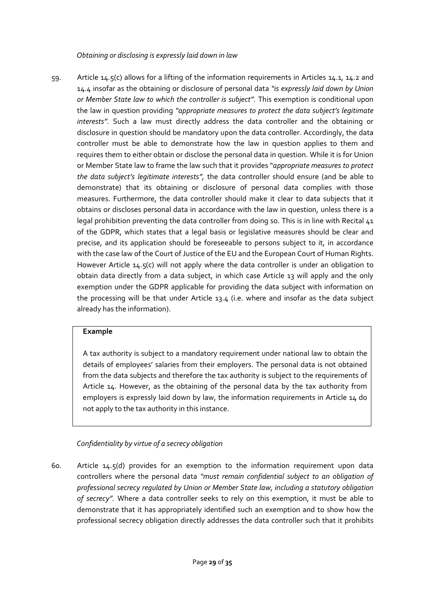*Obtaining or disclosing is expressly laid down in law*

<span id="page-28-0"></span>59. Article 14.5(c) allows for a lifting of the information requirements in Articles 14.1, 14.2 and 14.4 insofar as the obtaining or disclosure of personal data *"is expressly laid down by Union or Member State law to which the controller is subject".* This exemption is conditional upon the law in question providing *"appropriate measures to protect the data subject's legitimate interests".* Such a law must directly address the data controller and the obtaining or disclosure in question should be mandatory upon the data controller. Accordingly, the data controller must be able to demonstrate how the law in question applies to them and requires them to either obtain or disclose the personal data in question. While it is for Union or Member State law to frame the law such that it provides "*appropriate measures to protect the data subject's legitimate interests",* the data controller should ensure (and be able to demonstrate) that its obtaining or disclosure of personal data complies with those measures. Furthermore, the data controller should make it clear to data subjects that it obtains or discloses personal data in accordance with the law in question, unless there is a legal prohibition preventing the data controller from doing so. This is in line with Recital 41 of the GDPR, which states that a legal basis or legislative measures should be clear and precise, and its application should be foreseeable to persons subject to it, in accordance with the case law of the Court of Justice of the EU and the European Court of Human Rights. However Article 14.5(c) will not apply where the data controller is under an obligation to obtain data directly from a data subject, in which case Article 13 will apply and the only exemption under the GDPR applicable for providing the data subject with information on the processing will be that under Article 13.4 (i.e. where and insofar as the data subject already has the information).

#### **Example**

A tax authority is subject to a mandatory requirement under national law to obtain the details of employees' salaries from their employers. The personal data is not obtained from the data subjects and therefore the tax authority is subject to the requirements of Article 14. However, as the obtaining of the personal data by the tax authority from employers is expressly laid down by law, the information requirements in Article 14 do not apply to the tax authority in this instance.

*Confidentiality by virtue of a secrecy obligation*

<span id="page-28-1"></span>60. Article 14.5(d) provides for an exemption to the information requirement upon data controllers where the personal data *"must remain confidential subject to an obligation of professional secrecy regulated by Union or Member State law, including a statutory obligation of secrecy".* Where a data controller seeks to rely on this exemption, it must be able to demonstrate that it has appropriately identified such an exemption and to show how the professional secrecy obligation directly addresses the data controller such that it prohibits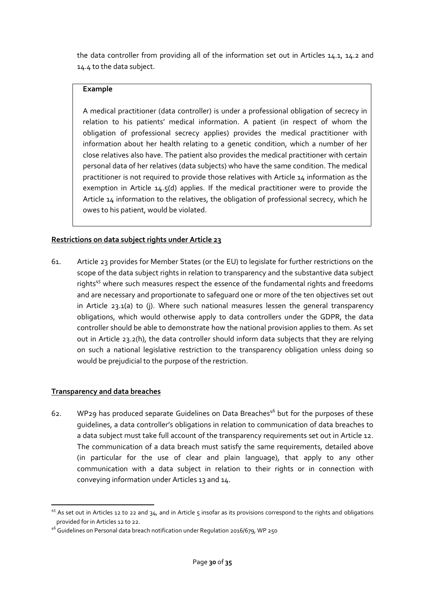the data controller from providing all of the information set out in Articles 14.1, 14.2 and 14.4 to the data subject.

### **Example**

A medical practitioner (data controller) is under a professional obligation of secrecy in relation to his patients' medical information. A patient (in respect of whom the obligation of professional secrecy applies) provides the medical practitioner with information about her health relating to a genetic condition, which a number of her close relatives also have. The patient also provides the medical practitioner with certain personal data of her relatives (data subjects) who have the same condition. The medical practitioner is not required to provide those relatives with Article 14 information as the exemption in Article 14.5(d) applies. If the medical practitioner were to provide the Article 14 information to the relatives, the obligation of professional secrecy, which he owes to his patient, would be violated.

# <span id="page-29-0"></span>**Restrictions on data subject rights under Article 23**

61. Article 23 provides for Member States (or the EU) to legislate for further restrictions on the scope of the data subject rights in relation to transparency and the substantive data subject rights<sup>45</sup> where such measures respect the essence of the fundamental rights and freedoms and are necessary and proportionate to safeguard one or more of the ten objectives set out in Article 23.1(a) to (j). Where such national measures lessen the general transparency obligations, which would otherwise apply to data controllers under the GDPR, the data controller should be able to demonstrate how the national provision applies to them. As set out in Article 23.2(h), the data controller should inform data subjects that they are relying on such a national legislative restriction to the transparency obligation unless doing so would be prejudicial to the purpose of the restriction.

# <span id="page-29-1"></span>**Transparency and data breaches**

62. WP29 has produced separate Guidelines on Data Breaches<sup>46</sup> but for the purposes of these guidelines, a data controller's obligations in relation to communication of data breaches to a data subject must take full account of the transparency requirements set out in Article 12. The communication of a data breach must satisfy the same requirements, detailed above (in particular for the use of clear and plain language), that apply to any other communication with a data subject in relation to their rights or in connection with conveying information under Articles 13 and 14.

<sup>1</sup>  $45$  As set out in Articles 12 to 22 and 34, and in Article 5 insofar as its provisions correspond to the rights and obligations provided for in Articles 12 to 22.

<sup>46</sup> Guidelines on Personal data breach notification under Regulation 2016/679, WP 250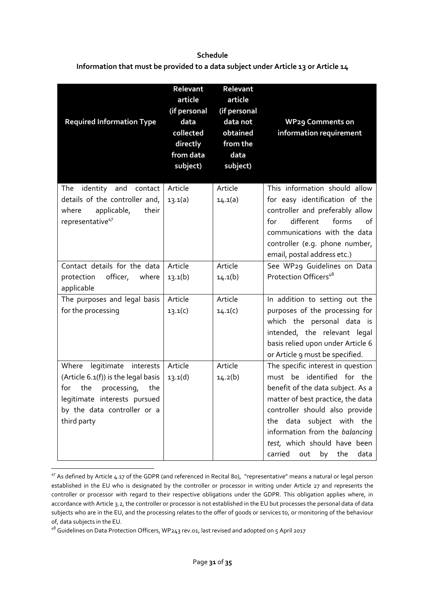# <span id="page-30-0"></span>**Schedule Information that must be provided to a data subject under Article 13 or Article 14**

| <b>Required Information Type</b>                                                                | Relevant<br>article<br>(if personal<br>data<br>collected<br>directly<br>from data<br>subject) | Relevant<br>article<br>(if personal<br>data not<br>obtained<br>from the<br>data<br>subject) | <b>WP29 Comments on</b><br>information requirement                                                                                                                                                    |
|-------------------------------------------------------------------------------------------------|-----------------------------------------------------------------------------------------------|---------------------------------------------------------------------------------------------|-------------------------------------------------------------------------------------------------------------------------------------------------------------------------------------------------------|
| identity and<br>The<br>contact                                                                  | Article                                                                                       | Article                                                                                     | This information should allow                                                                                                                                                                         |
| details of the controller and,<br>where<br>applicable,<br>their<br>representative <sup>47</sup> | 13.1(a)                                                                                       | 14.1(a)                                                                                     | for easy identification of the<br>controller and preferably allow<br>different<br>forms<br>for<br>of<br>communications with the data<br>controller (e.g. phone number,<br>email, postal address etc.) |
| Contact details for the data                                                                    | Article                                                                                       | Article                                                                                     | See WP29 Guidelines on Data                                                                                                                                                                           |
| officer, where<br>protection<br>applicable                                                      | 13.1(b)                                                                                       | 14.1(b)                                                                                     | Protection Officers <sup>48</sup>                                                                                                                                                                     |
| The purposes and legal basis                                                                    | Article                                                                                       | Article                                                                                     | In addition to setting out the                                                                                                                                                                        |
| for the processing                                                                              | 13.1(c)                                                                                       | 14.1(c)                                                                                     | purposes of the processing for<br>which the personal data is<br>intended, the relevant legal<br>basis relied upon under Article 6<br>or Article 9 must be specified.                                  |
| Where<br>legitimate interests                                                                   | Article                                                                                       | Article                                                                                     | The specific interest in question                                                                                                                                                                     |
| (Article 6.1(f)) is the legal basis                                                             | 13.1(d)                                                                                       | 14.2(b)                                                                                     | must be identified for the                                                                                                                                                                            |
| the<br>processing,<br>for<br>the                                                                |                                                                                               |                                                                                             | benefit of the data subject. As a                                                                                                                                                                     |
| legitimate interests pursued<br>by the data controller or a                                     |                                                                                               |                                                                                             | matter of best practice, the data<br>controller should also provide                                                                                                                                   |
| third party                                                                                     |                                                                                               |                                                                                             | the data subject with the                                                                                                                                                                             |
|                                                                                                 |                                                                                               |                                                                                             | information from the balancing<br>test, which should have been<br>carried<br>out<br>by<br>the<br>data                                                                                                 |

 $\overline{a}$ <sup>47</sup> As defined by Article 4.17 of the GDPR (and referenced in Recital 80), "representative" means a natural or legal person established in the EU who is designated by the controller or processor in writing under Article 27 and represents the controller or processor with regard to their respective obligations under the GDPR. This obligation applies where, in accordance with Article 3.2, the controller or processor is not established in the EU but processes the personal data of data subjects who are in the EU, and the processing relates to the offer of goods or services to, or monitoring of the behaviour of, data subjects in the EU.

<sup>48</sup> Guidelines on Data Protection Officers, WP243 rev.01, last revised and adopted on 5 April 2017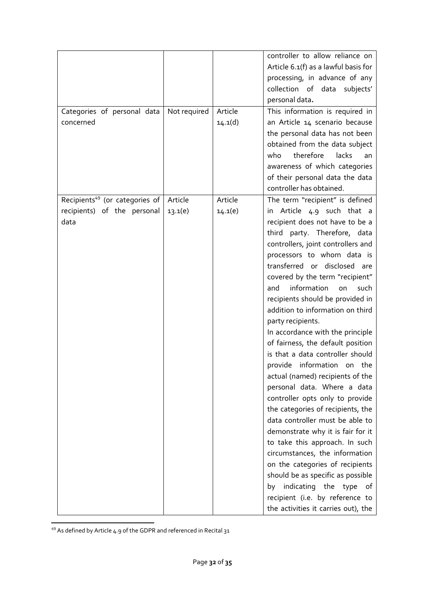|                                            |              |         | controller to allow reliance on      |
|--------------------------------------------|--------------|---------|--------------------------------------|
|                                            |              |         | Article 6.1(f) as a lawful basis for |
|                                            |              |         | processing, in advance of any        |
|                                            |              |         | collection of data<br>subjects'      |
|                                            |              |         | personal data.                       |
| Categories of personal data                | Not required | Article | This information is required in      |
| concerned                                  |              | 14.1(d) | an Article 14 scenario because       |
|                                            |              |         | the personal data has not been       |
|                                            |              |         | obtained from the data subject       |
|                                            |              |         | therefore<br>lacks<br>who<br>an      |
|                                            |              |         | awareness of which categories        |
|                                            |              |         | of their personal data the data      |
|                                            |              |         | controller has obtained.             |
| Recipients <sup>49</sup> (or categories of | Article      | Article | The term "recipient" is defined      |
| recipients) of the personal                | 13.1(e)      | 14.1(e) | in Article 4.9 such that a           |
| data                                       |              |         | recipient does not have to be a      |
|                                            |              |         | third party. Therefore, data         |
|                                            |              |         | controllers, joint controllers and   |
|                                            |              |         | processors to whom data is           |
|                                            |              |         | transferred or disclosed are         |
|                                            |              |         | covered by the term "recipient"      |
|                                            |              |         | information<br>and<br>such<br>on     |
|                                            |              |         | recipients should be provided in     |
|                                            |              |         | addition to information on third     |
|                                            |              |         | party recipients.                    |
|                                            |              |         | In accordance with the principle     |
|                                            |              |         | of fairness, the default position    |
|                                            |              |         | is that a data controller should     |
|                                            |              |         | provide information on the           |
|                                            |              |         | actual (named) recipients of the     |
|                                            |              |         | personal data. Where a data          |
|                                            |              |         | controller opts only to provide      |
|                                            |              |         | the categories of recipients, the    |
|                                            |              |         | data controller must be able to      |
|                                            |              |         | demonstrate why it is fair for it    |
|                                            |              |         | to take this approach. In such       |
|                                            |              |         | circumstances, the information       |
|                                            |              |         | on the categories of recipients      |
|                                            |              |         | should be as specific as possible    |
|                                            |              |         | by indicating the type<br>of         |
|                                            |              |         | recipient (i.e. by reference to      |
|                                            |              |         | the activities it carries out), the  |
|                                            |              |         |                                      |

**<sup>.</sup>**  $49$  As defined by Article 4.9 of the GDPR and referenced in Recital 31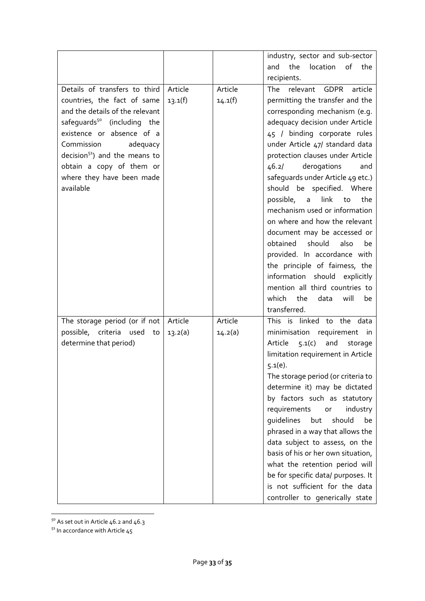|                                         |         |         | industry, sector and sub-sector           |
|-----------------------------------------|---------|---------|-------------------------------------------|
|                                         |         |         | location<br>of<br>and<br>the<br>the       |
|                                         |         |         | recipients.                               |
| Details of transfers to third           | Article | Article | The<br>relevant<br><b>GDPR</b><br>article |
| countries, the fact of same             | 13.1(f) | 14.1(f) | permitting the transfer and the           |
| and the details of the relevant         |         |         | corresponding mechanism (e.g.             |
| safequards <sup>50</sup> (including the |         |         | adequacy decision under Article           |
| existence or absence of a               |         |         | 45 / binding corporate rules              |
| Commission<br>adequacy                  |         |         | under Article 47/ standard data           |
| $decision51$ and the means to           |         |         | protection clauses under Article          |
| obtain a copy of them or                |         |         | derogations<br>46.2/<br>and               |
| where they have been made               |         |         | safeguards under Article 49 etc.)         |
| available                               |         |         | should be specified. Where                |
|                                         |         |         | possible, a<br>link<br>the<br>to          |
|                                         |         |         | mechanism used or information             |
|                                         |         |         | on where and how the relevant             |
|                                         |         |         | document may be accessed or               |
|                                         |         |         | obtained<br>should<br>also<br>be          |
|                                         |         |         | provided. In accordance with              |
|                                         |         |         | the principle of fairness, the            |
|                                         |         |         | information should explicitly             |
|                                         |         |         | mention all third countries to            |
|                                         |         |         | which<br>the<br>data<br>will<br>be        |
|                                         |         |         | transferred.                              |
| The storage period (or if not           | Article | Article | This is linked to the data                |
| possible, criteria used<br>to           | 13.2(a) | 14.2(a) | minimisation requirement in               |
| determine that period)                  |         |         | Article<br>5.1(c)<br>and<br>storage       |
|                                         |         |         | limitation requirement in Article         |
|                                         |         |         | $5.1(e)$ .                                |
|                                         |         |         | The storage period (or criteria to        |
|                                         |         |         | determine it) may be dictated             |
|                                         |         |         | by factors such as statutory              |
|                                         |         |         | requirements<br>industry<br>or            |
|                                         |         |         | guidelines<br>should<br>be<br>but         |
|                                         |         |         | phrased in a way that allows the          |
|                                         |         |         | data subject to assess, on the            |
|                                         |         |         | basis of his or her own situation,        |
|                                         |         |         | what the retention period will            |
|                                         |         |         | be for specific data/ purposes. It        |
|                                         |         |         | is not sufficient for the data            |
|                                         |         |         | controller to generically state           |

 $50$  As set out in Article 46.2 and 46.3

 $51$  In accordance with Article 45

**.**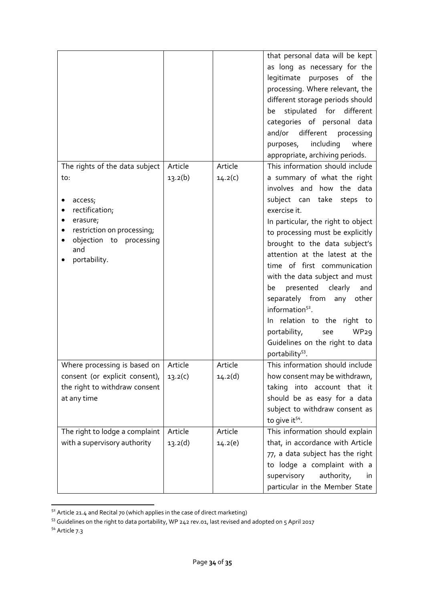|                                                       |         |         | that personal data will be kept         |
|-------------------------------------------------------|---------|---------|-----------------------------------------|
|                                                       |         |         | as long as necessary for the            |
|                                                       |         |         | legitimate purposes of the              |
|                                                       |         |         | processing. Where relevant, the         |
|                                                       |         |         | different storage periods should        |
|                                                       |         |         | stipulated for<br>different<br>be       |
|                                                       |         |         | categories of personal data             |
|                                                       |         |         | different<br>and/or<br>processing       |
|                                                       |         |         | including<br>where<br>purposes,         |
|                                                       |         |         | appropriate, archiving periods.         |
| The rights of the data subject                        | Article | Article | This information should include         |
| to:                                                   | 13.2(b) | 14.2(c) | a summary of what the right             |
|                                                       |         |         | involves and how the data               |
| access;                                               |         |         | subject can take steps to               |
| rectification;                                        |         |         | exercise it.                            |
| erasure;                                              |         |         | In particular, the right to object      |
| restriction on processing;<br>objection to processing |         |         | to processing must be explicitly        |
| and                                                   |         |         | brought to the data subject's           |
| portability.                                          |         |         | attention at the latest at the          |
|                                                       |         |         | time of first communication             |
|                                                       |         |         | with the data subject and must          |
|                                                       |         |         | presented clearly<br>and<br>be          |
|                                                       |         |         | separately from<br>other<br>any         |
|                                                       |         |         | information <sup>52</sup> .             |
|                                                       |         |         | In relation to the right to             |
|                                                       |         |         | WP <sub>29</sub><br>portability,<br>see |
|                                                       |         |         | Guidelines on the right to data         |
|                                                       |         |         | portability <sup>53</sup> .             |
| Where processing is based on                          | Article | Article | This information should include         |
| consent (or explicit consent),                        | 13.2(c) | 14.2(d) | how consent may be withdrawn,           |
| the right to withdraw consent                         |         |         | taking into account that it             |
| at any time                                           |         |         | should be as easy for a data            |
|                                                       |         |         | subject to withdraw consent as          |
|                                                       |         |         | to give it <sup>54</sup> .              |
| The right to lodge a complaint                        | Article | Article | This information should explain         |
| with a supervisory authority                          | 13.2(d) | 14.2(e) | that, in accordance with Article        |
|                                                       |         |         | 77, a data subject has the right        |
|                                                       |         |         | to lodge a complaint with a             |
|                                                       |         |         | authority,<br>supervisory<br><i>in</i>  |
|                                                       |         |         | particular in the Member State          |

 $52$  Article 21.4 and Recital 70 (which applies in the case of direct marketing)

<sup>54</sup> Article 7.3

1

 $53$  Guidelines on the right to data portability, WP 242 rev.01, last revised and adopted on 5 April 2017